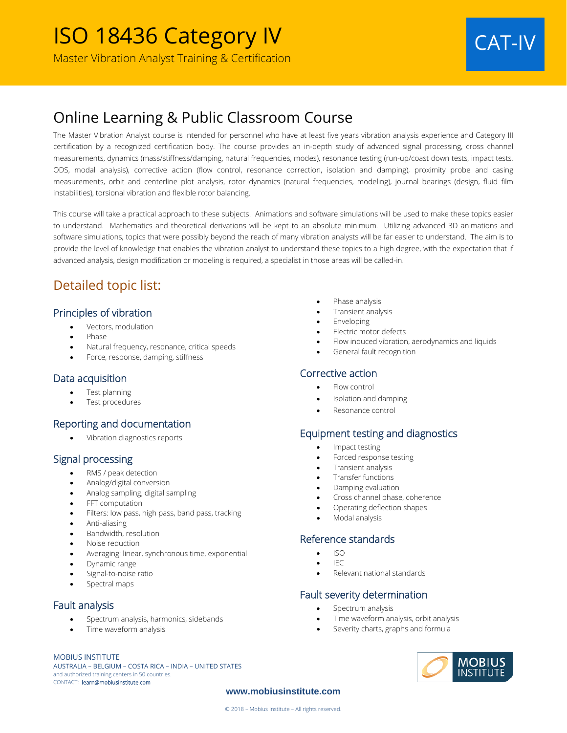# Online Learning & Public Classroom Course

The Master Vibration Analyst course is intended for personnel who have at least five years vibration analysis experience and Category III certification by a recognized certification body. The course provides an in-depth study of advanced signal processing, cross channel measurements, dynamics (mass/stiffness/damping, natural frequencies, modes), resonance testing (run-up/coast down tests, impact tests, ODS, modal analysis), corrective action (flow control, resonance correction, isolation and damping), proximity probe and casing measurements, orbit and centerline plot analysis, rotor dynamics (natural frequencies, modeling), journal bearings (design, fluid film instabilities), torsional vibration and flexible rotor balancing.

This course will take a practical approach to these subjects. Animations and software simulations will be used to make these topics easier to understand. Mathematics and theoretical derivations will be kept to an absolute minimum. Utilizing advanced 3D animations and software simulations, topics that were possibly beyond the reach of many vibration analysts will be far easier to understand. The aim is to provide the level of knowledge that enables the vibration analyst to understand these topics to a high degree, with the expectation that if advanced analysis, design modification or modeling is required, a specialist in those areas will be called-in.

## Detailed topic list:

### Principles of vibration

- Vectors, modulation
- Phase
- Natural frequency, resonance, critical speeds
- Force, response, damping, stiffness

#### Data acquisition

- Test planning
- Test procedures

#### Reporting and documentation

• Vibration diagnostics reports

#### Signal processing

- RMS / peak detection
- Analog/digital conversion
- Analog sampling, digital sampling
- FFT computation
- Filters: low pass, high pass, band pass, tracking
- Anti-aliasing
- Bandwidth, resolution
- Noise reduction
- Averaging: linear, synchronous time, exponential
- Dynamic range
- Signal-to-noise ratio
- Spectral maps

#### Fault analysis

- Spectrum analysis, harmonics, sidebands
- Time waveform analysis

#### MOBIUS INSTITUTE

AUSTRALIA – BELGIUM – COSTA RICA – INDIA – UNITED STATES and authorized training centers in 50 countries. CONTACT: learn@mobiusinstitute.com

- Phase analysis
- Transient analysis
- Enveloping
- Electric motor defects
- Flow induced vibration, aerodynamics and liquids
- General fault recognition

#### Corrective action

- Flow control
- Isolation and damping
- Resonance control

#### Equipment testing and diagnostics

- Impact testing
- Forced response testing
- Transient analysis
- Transfer functions
- Damping evaluation
- Cross channel phase, coherence
- Operating deflection shapes
- Modal analysis

#### Reference standards

- $\bullet$  ISO
- IEC
- Relevant national standards

#### Fault severity determination

- Spectrum analysis
- Time waveform analysis, orbit analysis
- Severity charts, graphs and formula



#### **www.mobiusinstitute.com**